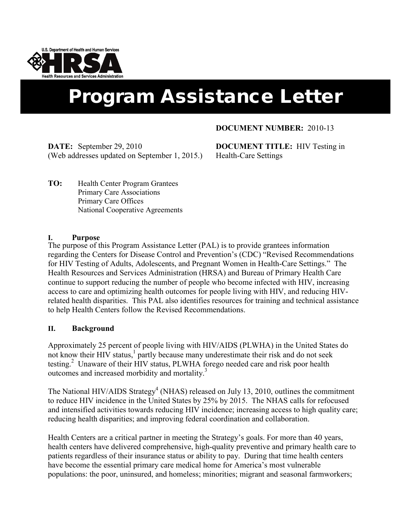

# Program Assistance Letter

### **DOCUMENT NUMBER:** 2010-13

**DATE:** September 29, 2010 (Web addresses updated on September 1, 2015.)

**DOCUMENT TITLE:** HIV Testing in Health-Care Settings

**TO:** Health Center Program Grantees Primary Care Associations Primary Care Offices National Cooperative Agreements

#### **I. Purpose**

The purpose of this Program Assistance Letter (PAL) is to provide grantees information regarding the Centers for Disease Control and Prevention's (CDC) "Revised Recommendations for HIV Testing of Adults, Adolescents, and Pregnant Women in Health-Care Settings." The Health Resources and Services Administration (HRSA) and Bureau of Primary Health Care continue to support reducing the number of people who become infected with HIV, increasing access to care and optimizing health outcomes for people living with HIV, and reducing HIVrelated health disparities. This PAL also identifies resources for training and technical assistance to help Health Centers follow the Revised Recommendations.

#### **II. Background**

Approximately 25 percent of people living with HIV/AIDS (PLWHA) in the United States do not know their HIV status,<sup>1</sup> partly because many underestimate their risk and do not seek testing.<sup>[2](#page-4-0)</sup> Unaware of their HIV status, PLWHA forego needed care and risk poor health outcomes and increased morbidity and mortality[.3](#page-4-0)

The National HIV/AIDS Strategy<sup>4</sup> (NHAS) released on July 13, 2010, outlines the commitment to reduce HIV incidence in the United States by 25% by 2015. The NHAS calls for refocused and intensified activities towards reducing HIV incidence; increasing access to high quality care; reducing health disparities; and improving federal coordination and collaboration.

Health Centers are a critical partner in meeting the Strategy's goals. For more than 40 years, health centers have delivered comprehensive, high-quality preventive and primary health care to patients regardless of their insurance status or ability to pay. During that time health centers have become the essential primary care medical home for America's most vulnerable populations: the poor, uninsured, and homeless; minorities; migrant and seasonal farmworkers;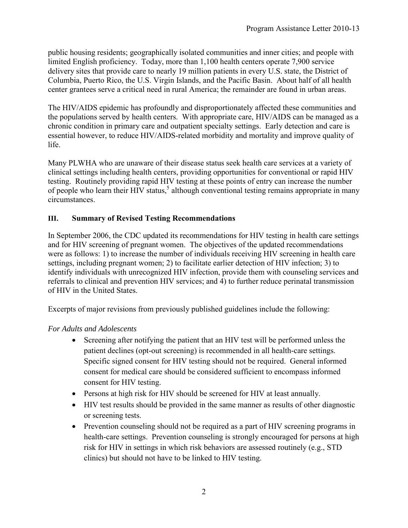public housing residents; geographically isolated communities and inner cities; and people with limited English proficiency. Today, more than 1,100 health centers operate 7,900 service delivery sites that provide care to nearly 19 million patients in every U.S. state, the District of Columbia, Puerto Rico, the U.S. Virgin Islands, and the Pacific Basin. About half of all health center grantees serve a critical need in rural America; the remainder are found in urban areas.

The HIV/AIDS epidemic has profoundly and disproportionately affected these communities and the populations served by health centers. With appropriate care, HIV/AIDS can be managed as a chronic condition in primary care and outpatient specialty settings. Early detection and care is essential however, to reduce HIV/AIDS-related morbidity and mortality and improve quality of life.

Many PLWHA who are unaware of their disease status seek health care services at a variety of clinical settings including health centers, providing opportunities for conventional or rapid HIV testing. Routinely providing rapid HIV testing at these points of entry can increase the number of people who learn their HIV status,<sup>5</sup> although conventional testing remains appropriate in many circumstances.

## **III. Summary of Revised Testing Recommendations**

In September 2006, the CDC updated its recommendations for HIV testing in health care settings and for HIV screening of pregnant women. The objectives of the updated recommendations were as follows: 1) to increase the number of individuals receiving HIV screening in health care settings, including pregnant women; 2) to facilitate earlier detection of HIV infection; 3) to identify individuals with unrecognized HIV infection, provide them with counseling services and referrals to clinical and prevention HIV services; and 4) to further reduce perinatal transmission of HIV in the United States.

Excerpts of major revisions from previously published guidelines include the following:

# *For Adults and Adolescents*

- Screening after notifying the patient that an HIV test will be performed unless the patient declines (opt-out screening) is recommended in all health-care settings. Specific signed consent for HIV testing should not be required. General informed consent for medical care should be considered sufficient to encompass informed consent for HIV testing.
- Persons at high risk for HIV should be screened for HIV at least annually.
- HIV test results should be provided in the same manner as results of other diagnostic or screening tests.
- Prevention counseling should not be required as a part of HIV screening programs in health-care settings. Prevention counseling is strongly encouraged for persons at high risk for HIV in settings in which risk behaviors are assessed routinely (e.g., STD clinics) but should not have to be linked to HIV testing.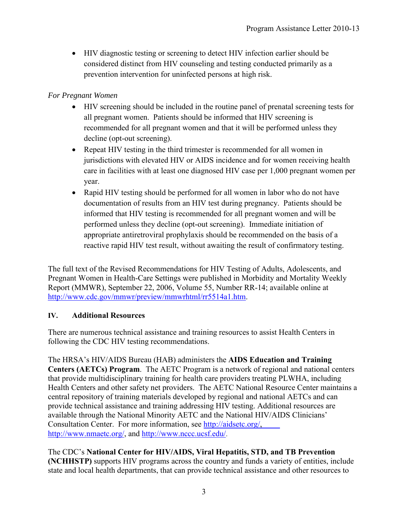• HIV diagnostic testing or screening to detect HIV infection earlier should be considered distinct from HIV counseling and testing conducted primarily as a prevention intervention for uninfected persons at high risk.

## *For Pregnant Women*

- HIV screening should be included in the routine panel of prenatal screening tests for all pregnant women. Patients should be informed that HIV screening is recommended for all pregnant women and that it will be performed unless they decline (opt-out screening).
- Repeat HIV testing in the third trimester is recommended for all women in jurisdictions with elevated HIV or AIDS incidence and for women receiving health care in facilities with at least one diagnosed HIV case per 1,000 pregnant women per year.
- Rapid HIV testing should be performed for all women in labor who do not have documentation of results from an HIV test during pregnancy. Patients should be informed that HIV testing is recommended for all pregnant women and will be performed unless they decline (opt-out screening). Immediate initiation of appropriate antiretroviral prophylaxis should be recommended on the basis of a reactive rapid HIV test result, without awaiting the result of confirmatory testing.

The full text of the Revised Recommendations for HIV Testing of Adults, Adolescents, and Pregnant Women in Health-Care Settings were published in Morbidity and Mortality Weekly Report (MMWR), September 22, 2006, Volume 55, Number RR-14; available online at [http://www.cdc.gov/mmwr/preview/mmwrhtml/rr5514a1.htm.](http://www.cdc.gov/mmwr/preview/mmwrhtml/rr5514a1.htm)

## **IV. Additional Resources**

There are numerous technical assistance and training resources to assist Health Centers in following the CDC HIV testing recommendations.

The HRSA's HIV/AIDS Bureau (HAB) administers the **AIDS Education and Training Centers (AETCs) Program**. The AETC Program is a network of regional and national centers that provide multidisciplinary training for health care providers treating PLWHA, including Health Centers and other safety net providers. The AETC National Resource Center maintains a central repository of training materials developed by regional and national AETCs and can provide technical assistance and training addressing HIV testing. Additional resources are available through the National Minority AETC and the National HIV/AIDS Clinicians' Consultation Center. For more information, see [http://aidsetc.org/,](http://aidsetc.org/) [http://www.nmaetc.org/,](http://www.nmaetc.org/) and [http://www.nccc.ucsf.edu/.](http://www.nccc.ucsf.edu/) 

The CDC's **National Center for HIV/AIDS, Viral Hepatitis, STD, and TB Prevention (NCHHSTP)** supports HIV programs across the country and funds a variety of entities, include state and local health departments, that can provide technical assistance and other resources to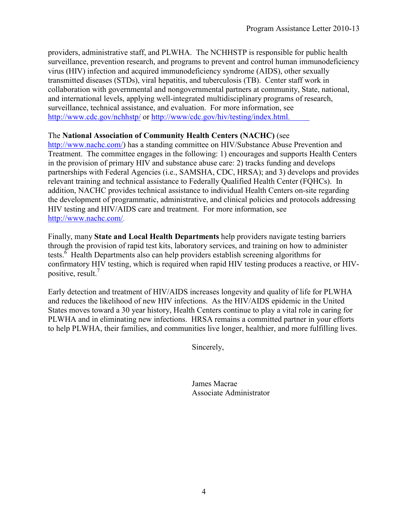providers, administrative staff, and PLWHA. The NCHHSTP is responsible for public health surveillance, prevention research, and programs to prevent and control human immunodeficiency virus (HIV) infection and acquired immunodeficiency syndrome (AIDS), other sexually transmitted diseases (STDs), viral hepatitis, and tuberculosis (TB). Center staff work in collaboration with governmental and nongovernmental partners at community, State, national, and international levels, applying well-integrated multidisciplinary programs of research, surveillance, technical assistance, and evaluation. For more information, see <http://www.cdc.gov/nchhstp/> or [http://www/cdc.gov/hiv/testing/index.html](http://www.cdc.gov/hiv/testing/index.html).

#### The **National Association of Community Health Centers (NACHC)** (see

[http://www.nachc.com/\)](http://www.nachc.com/) has a standing committee on HIV/Substance Abuse Prevention and Treatment. The committee engages in the following: 1) encourages and supports Health Centers in the provision of primary HIV and substance abuse care: 2) tracks funding and develops partnerships with Federal Agencies (i.e., SAMSHA, CDC, HRSA); and 3) develops and provides relevant training and technical assistance to Federally Qualified Health Center (FQHCs). In addition, NACHC provides technical assistance to individual Health Centers on-site regarding the development of programmatic, administrative, and clinical policies and protocols addressing HIV testing and HIV/AIDS care and treatment. For more information, see [http://www.nachc.com/.](http://www.nachc.com/)

Finally, many **State and Local Health Departments** help providers navigate testing barriers through the provision of rapid test kits, laboratory services, and training on how to administer tests.<sup>6</sup> Health Departments also can help providers establish screening algorithms for confirmatory HIV testing, which is required when rapid HIV testing produces a reactive, or HIV-positive, result.<sup>[7](#page-4-0)</sup>

Early detection and treatment of HIV/AIDS increases longevity and quality of life for PLWHA and reduces the likelihood of new HIV infections. As the HIV/AIDS epidemic in the United States moves toward a 30 year history, Health Centers continue to play a vital role in caring for PLWHA and in eliminating new infections. HRSA remains a committed partner in your efforts to help PLWHA, their families, and communities live longer, healthier, and more fulfilling lives.

Sincerely,

James Macrae Associate Administrator